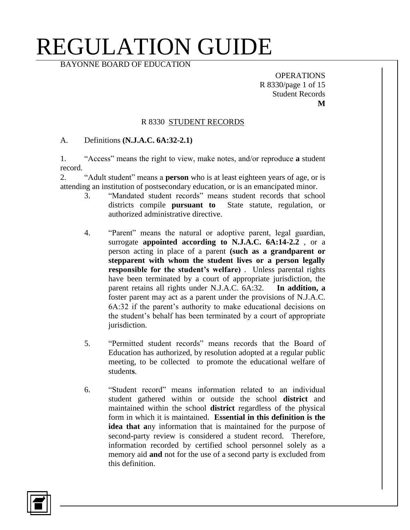BAYONNE BOARD OF EDUCATION

**OPERATIONS** R 8330/page 1 of 15 Student Records **M**

#### R 8330 STUDENT RECORDS

#### A. Definitions **(N.J.A.C. 6A:32-2.1)**

1. "Access" means the right to view, make notes, and/or reproduce **a** student record.

2. "Adult student" means a **person** who is at least eighteen years of age, or is attending an institution of postsecondary education, or is an emancipated minor.

- 3. "Mandated student records" means student records that school districts compile **pursuant to** State statute, regulation, or authorized administrative directive.
- 4. "Parent" means the natural or adoptive parent, legal guardian, surrogate **appointed according to N.J.A.C. 6A:14-2.2** , or a person acting in place of a parent **(such as a grandparent or stepparent with whom the student lives or a person legally responsible for the student's welfare)** . Unless parental rights have been terminated by a court of appropriate jurisdiction, the parent retains all rights under N.J.A.C. 6A:32. **In addition, a**  foster parent may act as a parent under the provisions of N.J.A.C. 6A:32 if the parent's authority to make educational decisions on the student's behalf has been terminated by a court of appropriate jurisdiction.
- 5. "Permitted student records" means records that the Board of Education has authorized, by resolution adopted at a regular public meeting, to be collected to promote the educational welfare of student**s**.
- 6. "Student record" means information related to an individual student gathered within or outside the school **district** and maintained within the school **district** regardless of the physical form in which it is maintained. **Essential in this definition is the idea that a**ny information that is maintained for the purpose of second**-**party review is considered a student record. Therefore, information recorded by certified school personnel solely as a memory aid **and** not for the use of a second party is excluded from this definition.

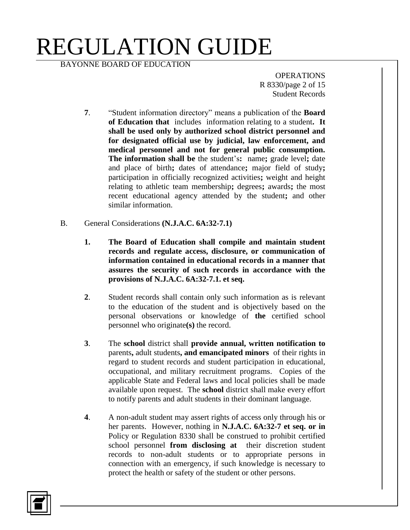BAYONNE BOARD OF EDUCATION

**OPERATIONS** R 8330/page 2 of 15 Student Records

- **7**. "Student information directory" means a publication of the **Board of Education that** includes information relating to a student**. It shall be used only by authorized school district personnel and for designated official use by judicial, law enforcement, and medical personnel and not for general public consumption. The information shall be** the student's**:** name**;** grade level**;** date and place of birth**;** dates of attendance**;** major field of study**;** participation in officially recognized activities**;** weight and height relating to athletic team membership**;** degrees**;** awards**;** the most recent educational agency attended by the student**;** and other similar information.
- B. General Considerations **(N.J.A.C. 6A:32-7.1)**
	- **1. The Board of Education shall compile and maintain student records and regulate access, disclosure, or communication of information contained in educational records in a manner that assures the security of such records in accordance with the provisions of N.J.A.C. 6A:32-7.1. et seq.**
	- **2**. Student records shall contain only such information as is relevant to the education of the student and is objectively based on the personal observations or knowledge of **the** certified school personnel who originate**(s)** the record.
	- **3**. The **school** district shall **provide annual, written notification to** parents**,** adult students**, and emancipated minors** of their rights in regard to student records and student participation in educational, occupational, and military recruitment programs. Copies of the applicable State and Federal laws and local policies shall be made available upon request. The **school** district shall make every effort to notify parents and adult students in their dominant language.
	- **4**. A non-adult student may assert rights of access only through his or her parents. However, nothing in **N.J.A.C. 6A:32-7 et seq. or in** Policy or Regulation 8330 shall be construed to prohibit certified school personnel **from disclosing at** their discretion student records to non-adult students or to appropriate persons in connection with an emergency, if such knowledge is necessary to protect the health or safety of the student or other persons.

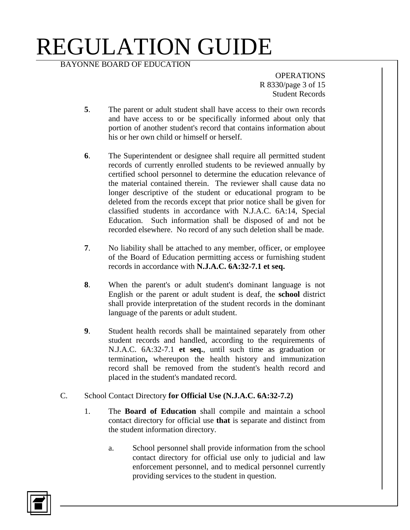BAYONNE BOARD OF EDUCATION

**OPERATIONS** R 8330/page 3 of 15 Student Records

- **5**. The parent or adult student shall have access to their own records and have access to or be specifically informed about only that portion of another student's record that contains information about his or her own child or himself or herself.
- **6**. The Superintendent or designee shall require all permitted student records of currently enrolled students to be reviewed annually by certified school personnel to determine the education relevance of the material contained therein. The reviewer shall cause data no longer descriptive of the student or educational program to be deleted from the records except that prior notice shall be given for classified students in accordance with N.J.A.C. 6A:14, Special Education. Such information shall be disposed of and not be recorded elsewhere. No record of any such deletion shall be made.
- **7**. No liability shall be attached to any member, officer, or employee of the Board of Education permitting access or furnishing student records in accordance with **N.J.A.C. 6A:32-7.1 et seq.**
- **8**. When the parent's or adult student's dominant language is not English or the parent or adult student is deaf, the **school** district shall provide interpretation of the student records in the dominant language of the parents or adult student.
- **9**. Student health records shall be maintained separately from other student records and handled, according to the requirements of N.J.A.C. 6A:32-7.1 **et seq.**, until such time as graduation or termination**,** whereupon the health history and immunization record shall be removed from the student's health record and placed in the student's mandated record.
- C. School Contact Directory **for Official Use (N.J.A.C. 6A:32-7.2)**
	- 1. The **Board of Education** shall compile and maintain a school contact directory for official use **that** is separate and distinct from the student information directory.
		- a. School personnel shall provide information from the school contact directory for official use only to judicial and law enforcement personnel, and to medical personnel currently providing services to the student in question.

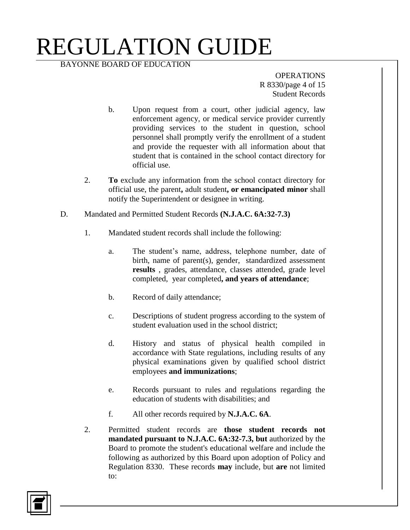BAYONNE BOARD OF EDUCATION

**OPERATIONS** R 8330/page 4 of 15 Student Records

- b. Upon request from a court, other judicial agency, law enforcement agency, or medical service provider currently providing services to the student in question, school personnel shall promptly verify the enrollment of a student and provide the requester with all information about that student that is contained in the school contact directory for official use.
- 2. **To** exclude any information from the school contact directory for official use, the parent**,** adult student**, or emancipated minor** shall notify the Superintendent or designee in writing.
- D. Mandated and Permitted Student Records **(N.J.A.C. 6A:32-7.3)**
	- 1. Mandated student records shall include the following:
		- a. The student's name, address, telephone number, date of birth, name of parent(s), gender, standardized assessment **results** , grades, attendance, classes attended, grade level completed, year completed**, and years of attendance**;
		- b. Record of daily attendance;
		- c. Descriptions of student progress according to the system of student evaluation used in the school district;
		- d. History and status of physical health compiled in accordance with State regulations, including results of any physical examinations given by qualified school district employees **and immunizations**;
		- e. Records pursuant to rules and regulations regarding the education of students with disabilities; and
		- f. All other records required by **N.J.A.C. 6A**.
	- 2. Permitted student records are **those student records not mandated pursuant to N.J.A.C. 6A:32-7.3, but** authorized by the Board to promote the student's educational welfare and include the following as authorized by this Board upon adoption of Policy and Regulation 8330. These records **may** include, but **are** not limited to:

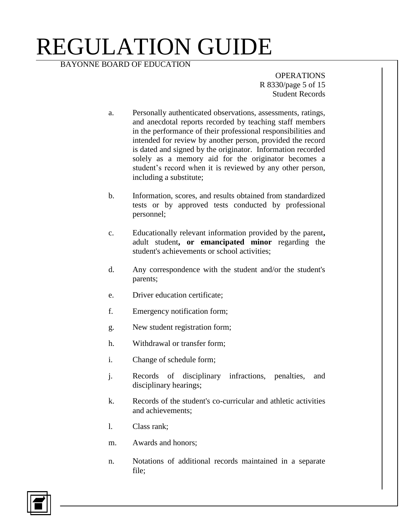BAYONNE BOARD OF EDUCATION

**OPERATIONS** R 8330/page 5 of 15 Student Records

- a. Personally authenticated observations, assessments, ratings, and anecdotal reports recorded by teaching staff members in the performance of their professional responsibilities and intended for review by another person, provided the record is dated and signed by the originator. Information recorded solely as a memory aid for the originator becomes a student's record when it is reviewed by any other person, including a substitute;
- b. Information, scores, and results obtained from standardized tests or by approved tests conducted by professional personnel;
- c. Educationally relevant information provided by the parent**,**  adult student**, or emancipated minor** regarding the student's achievements or school activities;
- d. Any correspondence with the student and/or the student's parents;
- e. Driver education certificate;
- f. Emergency notification form;
- g. New student registration form;
- h. Withdrawal or transfer form;
- i. Change of schedule form;
- j. Records of disciplinary infractions, penalties, and disciplinary hearings;
- k. Records of the student's co-curricular and athletic activities and achievements;
- l. Class rank;
- m. Awards and honors;
- n. Notations of additional records maintained in a separate file;

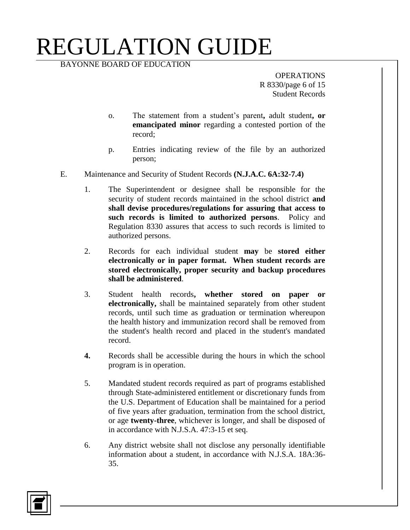BAYONNE BOARD OF EDUCATION

**OPERATIONS** R 8330/page 6 of 15 Student Records

- o. The statement from a student's parent**,** adult student**, or emancipated minor** regarding a contested portion of the record;
- p. Entries indicating review of the file by an authorized person;
- E. Maintenance and Security of Student Records **(N.J.A.C. 6A:32-7.4)**
	- 1. The Superintendent or designee shall be responsible for the security of student records maintained in the school district **and shall devise procedures/regulations for assuring that access to such records is limited to authorized persons**. Policy and Regulation 8330 assures that access to such records is limited to authorized persons.
	- 2. Records for each individual student **may** be **stored either electronically or in paper format. When student records are stored electronically, proper security and backup procedures shall be administered**.
	- 3. Student health records**, whether stored on paper or electronically,** shall be maintained separately from other student records, until such time as graduation or termination whereupon the health history and immunization record shall be removed from the student's health record and placed in the student's mandated record.
	- **4.** Records shall be accessible during the hours in which the school program is in operation.
	- 5. Mandated student records required as part of programs established through State**-**administered entitlement or discretionary funds from the U.S. Department of Education shall be maintained for a period of five years after graduation, termination from the school district, or age **twenty-three**, whichever is longer, and shall be disposed of in accordance with N.J.S.A. 47:3-15 et seq.
	- 6. Any district website shall not disclose any personally identifiable information about a student, in accordance with N.J.S.A. 18A:36- 35.

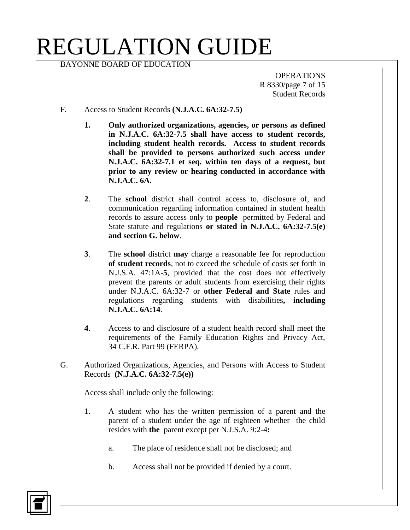BAYONNE BOARD OF EDUCATION

**OPERATIONS** R 8330/page 7 of 15 Student Records

- F. Access to Student Records **(N.J.A.C. 6A:32-7.5)**
	- **1. Only authorized organizations, agencies, or persons as defined in N.J.A.C. 6A:32-7.5 shall have access to student records, including student health records. Access to student records shall be provided to persons authorized such access under N.J.A.C. 6A:32-7.1 et seq. within ten days of a request, but prior to any review or hearing conducted in accordance with N.J.A.C. 6A.**
	- **2**. The **school** district shall control access to, disclosure of, and communication regarding information contained in student health records to assure access only to **people** permitted by Federal and State statute and regulations **or stated in N.J.A.C. 6A:32-7.5(e) and section G. below**.
	- **3**. The **school** district **may** charge a reasonable fee for reproduction **of student records**, not to exceed the schedule of costs set forth in N.J.S.A. 47:1A-**5**, provided that the cost does not effectively prevent the parents or adult students from exercising their rights under N.J.A.C. 6A:32-7 or **other Federal and State** rules and regulations regarding students with disabilities**, including N.J.A.C. 6A:14**.
	- **4**. Access to and disclosure of a student health record shall meet the requirements of the Family Education Rights and Privacy Act, 34 C.F.R. Part 99 (FERPA).
- G. Authorized Organizations, Agencies, and Persons with Access to Student Records **(N.J.A.C. 6A:32-7.5(e))**

Access shall include only the following:

- 1. A student who has the written permission of a parent and the parent of a student under the age of eighteen whether the child resides with **the** parent except per N.J.S.A. 9:2-4**:**
	- a. The place of residence shall not be disclosed; and
	- b. Access shall not be provided if denied by a court.

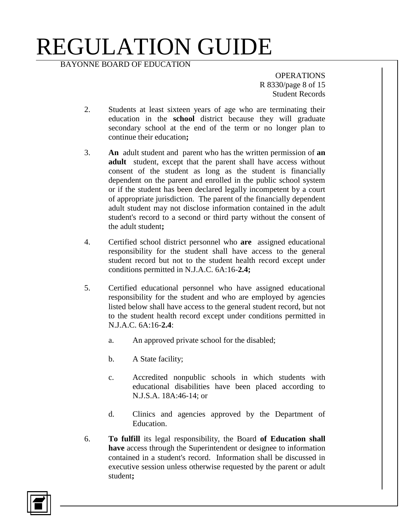BAYONNE BOARD OF EDUCATION

**OPERATIONS** R 8330/page 8 of 15 Student Records

- 2. Students at least sixteen years of age who are terminating their education in the **school** district because they will graduate secondary school at the end of the term or no longer plan to continue their education**;**
- 3. **An** adult student and parent who has the written permission of **an adult** student, except that the parent shall have access without consent of the student as long as the student is financially dependent on the parent and enrolled in the public school system or if the student has been declared legally incompetent by a court of appropriate jurisdiction. The parent of the financially dependent adult student may not disclose information contained in the adult student's record to a second or third party without the consent of the adult student**;**
- 4. Certified school district personnel who **are** assigned educational responsibility for the student shall have access to the general student record but not to the student health record except under conditions permitted in N.J.A.C. 6A:16-**2.4;**
- 5. Certified educational personnel who have assigned educational responsibility for the student and who are employed by agencies listed below shall have access to the general student record, but not to the student health record except under conditions permitted in N.J.A.C. 6A:16-**2.4**:
	- a. An approved private school for the disabled;
	- b. A State facility;
	- c. Accredited nonpublic schools in which students with educational disabilities have been placed according to N.J.S.A. 18A:46-14; or
	- d. Clinics and agencies approved by the Department of Education.
- 6. **To fulfill** its legal responsibility, the Board **of Education shall have** access through the Superintendent or designee to information contained in a student's record. Information shall be discussed in executive session unless otherwise requested by the parent or adult student**;**

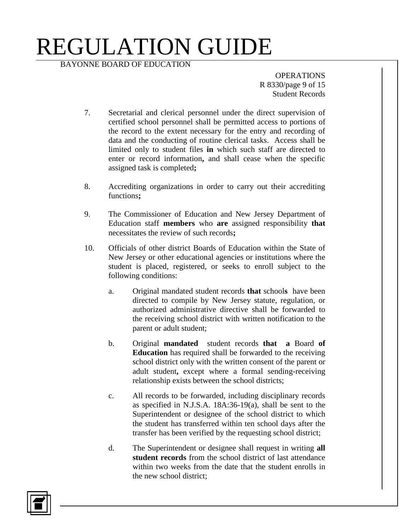BAYONNE BOARD OF EDUCATION

**OPERATIONS** R 8330/page 9 of 15 Student Records

- 7. Secretarial and clerical personnel under the direct supervision of certified school personnel shall be permitted access to portions of the record to the extent necessary for the entry and recording of data and the conducting of routine clerical tasks. Access shall be limited only to student files **in** which such staff are directed to enter or record information**,** and shall cease when the specific assigned task is completed**;**
- 8. Accrediting organizations in order to carry out their accrediting functions**;**
- 9. The Commissioner of Education and New Jersey Department of Education staff **members** who **are** assigned responsibility **that**  necessitates the review of such records**;**
- 10. Officials of other district Boards of Education within the State of New Jersey or other educational agencies or institutions where the student is placed, registered, or seeks to enroll subject to the following conditions:
	- a. Original mandated student records **that** school**s** have been directed to compile by New Jersey statute, regulation, or authorized administrative directive shall be forwarded to the receiving school district with written notification to the parent or adult student;
	- b. Original **mandated** student records **that a** Board **of Education** has required shall be forwarded to the receiving school district only with the written consent of the parent or adult student**,** except where a formal sending-receiving relationship exists between the school districts;
	- c. All records to be forwarded, including disciplinary records as specified in N.J.S.A. 18A:36-19(a), shall be sent to the Superintendent or designee of the school district to which the student has transferred within ten school days after the transfer has been verified by the requesting school district;
	- d. The Superintendent or designee shall request in writing **all student records** from the school district of last attendance within two weeks from the date that the student enrolls in the new school district;

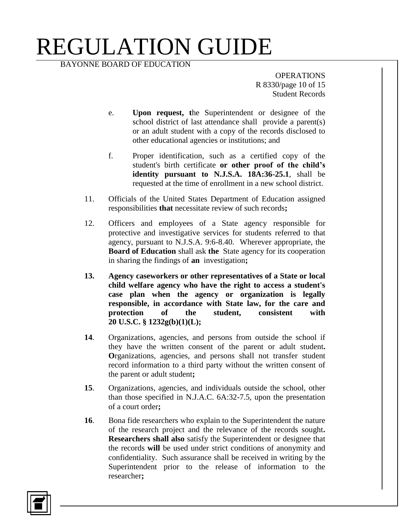BAYONNE BOARD OF EDUCATION

**OPERATIONS** R 8330/page 10 of 15 Student Records

- e. **Upon request, t**he Superintendent or designee of the school district of last attendance shall provide a parent(s) or an adult student with a copy of the records disclosed to other educational agencies or institutions; and
- f. Proper identification, such as a certified copy of the student's birth certificate **or other proof of the child's identity pursuant to N.J.S.A. 18A:36-25.1**, shall be requested at the time of enrollment in a new school district.
- 11. Officials of the United States Department of Education assigned responsibilities **that** necessitate review of such records**;**
- 12. Officers and employees of a State agency responsible for protective and investigative services for students referred to that agency, pursuant to N.J.S.A. 9:6-8.40. Wherever appropriate, the **Board of Education** shall ask **the** State agency for its cooperation in sharing the findings of **an** investigation**;**
- **13. Agency caseworkers or other representatives of a State or local child welfare agency who have the right to access a student's case plan when the agency or organization is legally responsible, in accordance with State law, for the care and protection of the student, consistent with 20 U.S.C. § 1232g(b)(1)(L);**
- **14**. Organizations, agencies, and persons from outside the school if they have the written consent of the parent or adult student**. O**rganizations, agencies, and persons shall not transfer student record information to a third party without the written consent of the parent or adult student**;**
- **15**. Organizations, agencies, and individuals outside the school, other than those specified in N.J.A.C. 6A:32-7.5, upon the presentation of a court order**;**
- **16**. Bona fide researchers who explain to the Superintendent the nature of the research project and the relevance of the records sought**. Researchers shall also** satisfy the Superintendent or designee that the records **will** be used under strict conditions of anonymity and confidentiality. Such assurance shall be received in writing by the Superintendent prior to the release of information to the researcher**;**

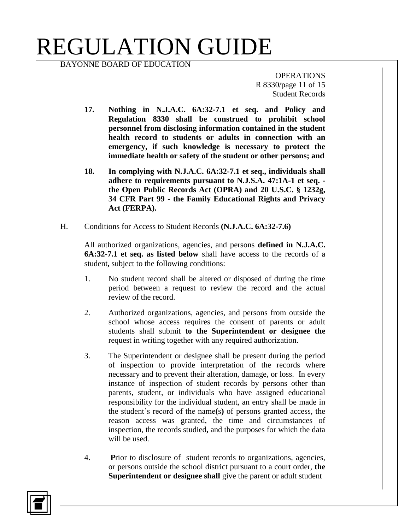BAYONNE BOARD OF EDUCATION

**OPERATIONS** R 8330/page 11 of 15 Student Records

- **17. Nothing in N.J.A.C. 6A:32-7.1 et seq. and Policy and Regulation 8330 shall be construed to prohibit school personnel from disclosing information contained in the student health record to students or adults in connection with an emergency, if such knowledge is necessary to protect the immediate health or safety of the student or other persons; and**
- **18. In complying with N.J.A.C. 6A:32-7.1 et seq., individuals shall adhere to requirements pursuant to N.J.S.A. 47:1A-1 et seq. the Open Public Records Act (OPRA) and 20 U.S.C. § 1232g, 34 CFR Part 99 - the Family Educational Rights and Privacy Act (FERPA).**
- H. Conditions for Access to Student Records **(N.J.A.C. 6A:32-7.6)**

All authorized organizations, agencies, and persons **defined in N.J.A.C. 6A:32-7.1 et seq. as listed below** shall have access to the records of a student**,** subject to the following conditions:

- 1. No student record shall be altered or disposed of during the time period between a request to review the record and the actual review of the record.
- 2. Authorized organizations, agencies, and persons from outside the school whose access requires the consent of parents or adult students shall submit **to the Superintendent or designee the** request in writing together with any required authorization.
- 3. The Superintendent or designee shall be present during the period of inspection to provide interpretation of the records where necessary and to prevent their alteration, damage, or loss. In every instance of inspection of student records by persons other than parents, student, or individuals who have assigned educational responsibility for the individual student, an entry shall be made in the student's record of the name**(**s**)** of persons granted access, the reason access was granted, the time and circumstances of inspection, the records studied**,** and the purposes for which the data will be used.
- 4. **P**rior to disclosure of student records to organizations, agencies, or persons outside the school district pursuant to a court order, **the Superintendent or designee shall** give the parent or adult student

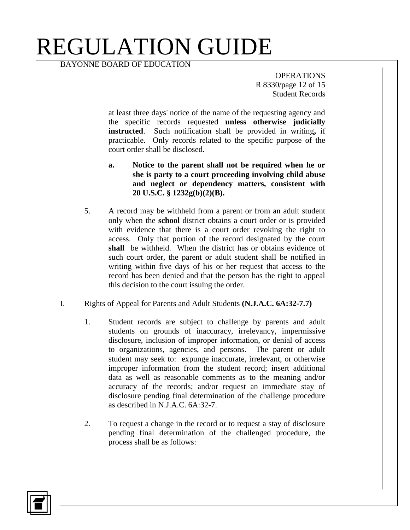BAYONNE BOARD OF EDUCATION

**OPERATIONS** R 8330/page 12 of 15 Student Records

at least three days' notice of the name of the requesting agency and the specific records requested **unless otherwise judicially instructed**. Such notification shall be provided in writing**,** if practicable. Only records related to the specific purpose of the court order shall be disclosed.

- **a. Notice to the parent shall not be required when he or she is party to a court proceeding involving child abuse and neglect or dependency matters, consistent with 20 U.S.C. § 1232g(b)(2)(B).**
- 5. A record may be withheld from a parent or from an adult student only when the **school** district obtains a court order or is provided with evidence that there is a court order revoking the right to access. Only that portion of the record designated by the court **shall** be withheld. When the district has or obtains evidence of such court order, the parent or adult student shall be notified in writing within five days of his or her request that access to the record has been denied and that the person has the right to appeal this decision to the court issuing the order.
- I. Rights of Appeal for Parents and Adult Students **(N.J.A.C. 6A:32-7.7)**
	- 1. Student records are subject to challenge by parents and adult students on grounds of inaccuracy, irrelevancy, impermissive disclosure, inclusion of improper information, or denial of access to organizations, agencies, and persons. The parent or adult student may seek to: expunge inaccurate, irrelevant, or otherwise improper information from the student record; insert additional data as well as reasonable comments as to the meaning and/or accuracy of the records; and/or request an immediate stay of disclosure pending final determination of the challenge procedure as described in N.J.A.C. 6A:32-7.
	- 2. To request a change in the record or to request a stay of disclosure pending final determination of the challenged procedure, the process shall be as follows:

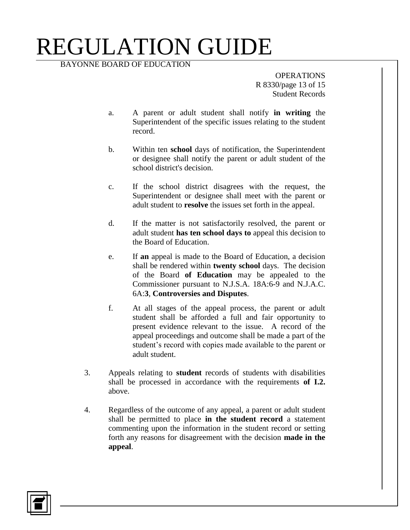BAYONNE BOARD OF EDUCATION

**OPERATIONS** R 8330/page 13 of 15 Student Records

- a. A parent or adult student shall notify **in writing** the Superintendent of the specific issues relating to the student record.
- b. Within ten **school** days of notification, the Superintendent or designee shall notify the parent or adult student of the school district's decision.
- c. If the school district disagrees with the request, the Superintendent or designee shall meet with the parent or adult student to **resolve** the issues set forth in the appeal.
- d. If the matter is not satisfactorily resolved, the parent or adult student **has ten school days to** appeal this decision to the Board of Education.
- e. If **an** appeal is made to the Board of Education, a decision shall be rendered within **twenty school** days. The decision of the Board **of Education** may be appealed to the Commissioner pursuant to N.J.S.A. 18A:6-9 and N.J.A.C. 6A:**3**, **Controversies and Disputes**.
- f. At all stages of the appeal process, the parent or adult student shall be afforded a full and fair opportunity to present evidence relevant to the issue. A record of the appeal proceedings and outcome shall be made a part of the student's record with copies made available to the parent or adult student.
- 3. Appeals relating to **student** records of students with disabilities shall be processed in accordance with the requirements **of I.2.**  above.
- 4. Regardless of the outcome of any appeal, a parent or adult student shall be permitted to place **in the student record** a statement commenting upon the information in the student record or setting forth any reasons for disagreement with the decision **made in the appeal**.

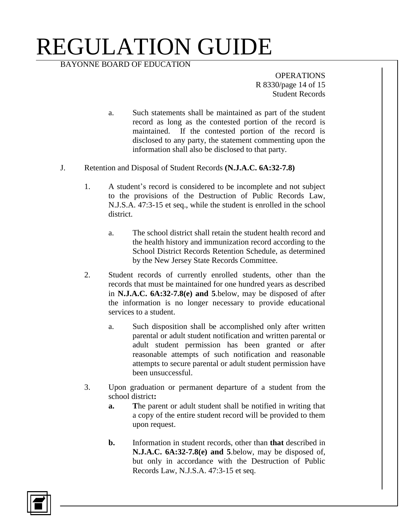BAYONNE BOARD OF EDUCATION

**OPERATIONS** R 8330/page 14 of 15 Student Records

- a. Such statements shall be maintained as part of the student record as long as the contested portion of the record is maintained. If the contested portion of the record is disclosed to any party, the statement commenting upon the information shall also be disclosed to that party.
- J. Retention and Disposal of Student Records **(N.J.A.C. 6A:32-7.8)**
	- 1. A student's record is considered to be incomplete and not subject to the provisions of the Destruction of Public Records Law, N.J.S.A. 47:3-15 et seq., while the student is enrolled in the school district.
		- a. The school district shall retain the student health record and the health history and immunization record according to the School District Records Retention Schedule, as determined by the New Jersey State Records Committee.
	- 2. Student records of currently enrolled students, other than the records that must be maintained for one hundred years as described in **N.J.A.C. 6A:32-7.8(e) and 5**.below, may be disposed of after the information is no longer necessary to provide educational services to a student.
		- a. Such disposition shall be accomplished only after written parental or adult student notification and written parental or adult student permission has been granted or after reasonable attempts of such notification and reasonable attempts to secure parental or adult student permission have been unsuccessful.
	- 3. Upon graduation or permanent departure of a student from the school district**:**
		- **a. T**he parent or adult student shall be notified in writing that a copy of the entire student record will be provided to them upon request.
		- **b.** Information in student records, other than **that** described in **N.J.A.C. 6A:32-7.8(e) and 5**.below, may be disposed of, but only in accordance with the Destruction of Public Records Law, N.J.S.A. 47:3-15 et seq.